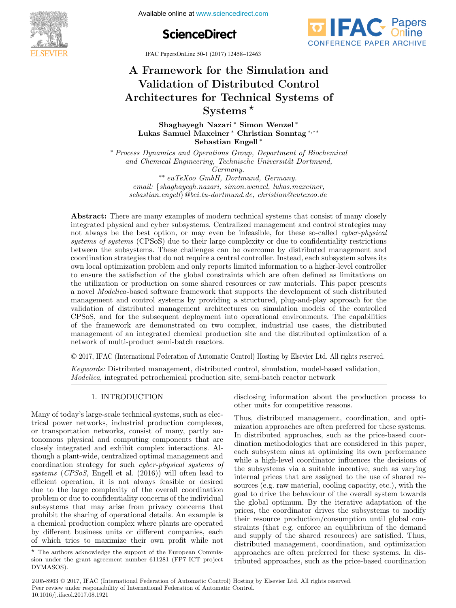**The International Federation of Available online at www.sciencedirect.com** 





IFAC PapersOnLine 50-1 (2017) 12458–12463

## A Framework for the Simulation and Validation of Distributed Control Architectures for Technical Systems of Systems Architectures for Technical Systems of Architectures for Technical Systems of Systems Systems Systems A Framework for the Simulation and A Framework for the Simulation and Validation of Distributed Control Validation of Distributed Control

Shaghayegh Nazari ∗ Simon Wenzel ∗ Lukas Samuel Maxeiner <sup>∗</sup> Christian Sonntag <sup>∗,∗∗</sup> Sebastian Engell ∗ Sebastian Engell ∗ Lukas Samuel Maxeiner <sup>∗</sup> Christian Sonntag <sup>∗</sup>,∗∗ Shaghayegh Nazari ∗ Simon Wenzel ∗ Shaghayegh Nazari \* Simon Wenzel ∗

and Chemical Engineering, Technische Universität Dortmund,  $Germany.$ ∗ Process Dynamics and Operations Group, Department of Biochemical

 $** eu$ TeXoo GmbH, Dortmund, Germany. email: {shaghayegh.nazari, simon.wenzel, lukas.maxeiner, + email: {shaghayegh.nazari, simon.wenzel, lukas.maxeiner,<br>∗• sebastian.engell} @bci.tu-dortmund.de, christian@eutexoo.de sebastian.engell}@bci.tu-dortmund.de, christian@eutexoo.de  ${c}$ ustian. ${c}$ ng ${c}$ i, soct.ta-aortinana.a ${c},$  chi istian $\in$ caic.oo.a

sebastian.engell}@bci.tu-dortmund.de, christian@eutexoo.de

integrated physical and cyber subsystems. Centralized management and control strategies may not always be the best option, or may even be infeasible, for these so-called *cyber-physical* systems of systems (CPSoS) due to their large complexity or due to confidentiality restrictions between the subsystems. These challenges can be overcome by distributed management and coordination strategies that do not require a central controller. Instead, each subsystem solves its over different strategies that do not require a central controller. Instead, each subsystem sorves as<br>own local optimization problem and only reports limited information to a higher-level controller own local optimization problem and only reports limited information to a higher-level controller<br>to ensure the satisfaction of the global constraints which are often defined as limitations on the utilization or production on some shared resources or raw materials. This paper presents a novel *Modelica*-based software framework that supports the development of such distributed management and control systems by providing a structured, plug-and-play approach for the validation of distributed management architectures on simulation models of the controlled CPSoS, and for the subsequent deployment into operational environments. The capabilities of the framework are demonstrated on two complex, industrial use cases, the distributed management of an integrated chemical production site and the distributed optimization of a  $% \mathcal{N}$  network of multi-product semi-batch reactors.  $\mathcal{N}$ Abstract: There are many examples of modern technical systems that consist of many closely sebastian.engell}@bci.tu-dortmund.de, christian@eutexoo.de of the framework are demonstrated on the framework and the distributed opening and or a

© 2017, IFAC (International Federation of Automatic Control) Hosting by Elsevier Ltd. All rights reserved.  $\sim$  2011, H 110 (informational material) of transmission control, modeling  $\sigma_f$  models. The rights reserve network of multi-product semi-batch reactors.  $Q$  2017, IFAC (International Federation of Automat

Keywords: Distributed management, distributed control, simulation, model-based validation, *Modelica*, integrated petrochemical production site, semi-batch reactor network Modelica, integrated petrochemical production site, semi-batch reactor network

## 1. INTRODUCTION 1. INTRODUCTION 1. INTRODUCTION

Many of today's large-scale technical systems, such as electrical power networks, industrial production complexes, or transportation networks, industrial production complexes, or transportation networks, consist of many, partly auor transportation networks, consist of many, partly autonomous physical and computing components that are closely integrated and exhibit complex interactions. Although a plant-wide, centralized optimal management and coordination strategy for such *cyber-physical systems* of systems (CPSoS, Engell et al. (2016)) will often lead to systems (CPSoS, Engell et al. (2016)) will often lead to coordination strategy for such cyber-physical systems of efficient operation, it is not always feasible or desired due to the large complexity of the overall coordination due to the large complexity of the overall coordination efficient operation, it is not always feasible or desired problem or due to confidentiality concerns of the individual problem or due to confidentiality concerns or the individuals<br>subsystems that may arise from privacy concerns that subsystems that may arise from privacy concerns that<br>prohibit the sharing of operational details. An example is promote the sharing of operational details. An example is<br>a chemical production complex where plants are operated a chemical production complex where plants are operated<br>by different business units or different companies, each of which tries to maximize their own profit while not systems (*CPSoS*, Engell et al.  $(2016)$ ) will often lead to efficient operation, it is not always feasible or desired due to the large complexity of the overall coordination systems (CPSoS), Engell et al. (2016)) will often lead to<br>efficient operation, it is not always feasible or desired of which tries to maximize their own profit while not disclosing information about the production process to other units for competitive reasons. disclosing information about the production process to<br>other units for competitive reasons. other units for competitive reasons.

Thus, distributed management, coordination, and optimization approaches are often preferred for these systems. In distributed approaches, such as the price-based coordination methodologies that are considered in this paper, dination included gives that are considered in this paper,<br>each subsystem aims at optimizing its own performance while a high-level coordinator influences the decisions of the subsystems via a suitable incentive, such as varying internal prices that are assigned to the use of shared remeeting prices that are assigned to the use of shared re-<br>sources (e.g. raw material, cooling capacity, etc.), with the goal to drive the behaviour of the overall system towards<br>the global optimum. By the iterative adaptation of the goal to drive the behaviour of the overall system towards<br>the global optimum. By the iterative adaptation of the the global optimum. By the iterative adaptation of the prices, the coordinator drives the subsystems to modify prices, the coordinator drives the subsystems to modify their resource production/consumption until global constraints (that e.g. enforce an equilibrium of the demand and supply of the shared resources) are satisfied. Thus, and supply of the shared resources) are satisfied. Thus, distributed management, coordination, and optimization approaches are often preferred for these systems. In distributed approaches, such as the price-based coordination tributed approaches, such as the price-based coordination approaches are often preferred for these systems. In distributed approaches, such as the price-based coordination

 $\overline{\star}$  The authors acknowledge the support of the European Commis-The authors acknowledge the support of the European Commission under the grant agreement number 611281 (FP7 ICT project DYMASOS). DYMASOS). sion under the grant agreement number 611281 (FP7 ICT project  $\overline{\phantom{a}}$  .  $\overline{\phantom{a}}$ 

<sup>2405-8963 © 2017,</sup> IFAC (International Federation of Automatic Control) Hosting by Elsevier Ltd. All rights reserved. **Peer review under responsibility of International Federation of Automatic Control.<br>
<b>Peer review under responsibility of International Federation of Automatic Control.** 10.1016/j.ifacol.2017.08.1921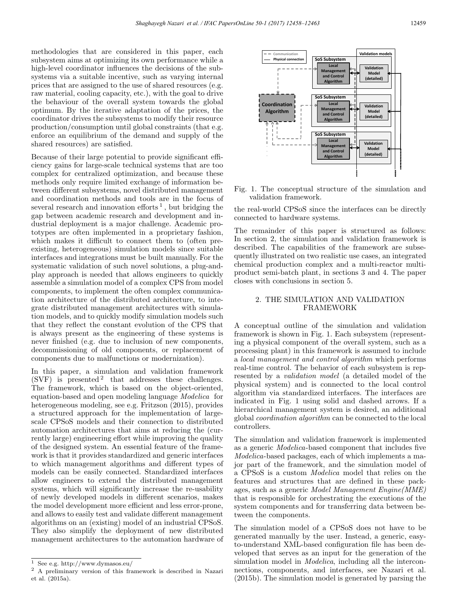methodologies that are considered in this paper, each subsystem aims at optimizing its own performance while a high-level coordinator influences the decisions of the subsystems via a suitable incentive, such as varying internal prices that are assigned to the use of shared resources (e.g. raw material, cooling capacity, etc.), with the goal to drive the behaviour of the overall system towards the global optimum. By the iterative adaptation of the prices, the coordinator drives the subsystems to modify their resource production/consumption until global constraints (that e.g. enforce an equilibrium of the demand and supply of the shared resources) are satisfied.

Because of their large potential to provide significant efficiency gains for large-scale technical systems that are too complex for centralized optimization, and because these methods only require limited exchange of information between different subsystems, novel distributed management and coordination methods and tools are in the focus of several research and innovation efforts<sup>1</sup>, but bridging the gap between academic research and development and industrial deployment is a major challenge. Academic prototypes are often implemented in a proprietary fashion, which makes it difficult to connect them to (often preexisting, heterogeneous) simulation models since suitable interfaces and integrations must be built manually. For the systematic validation of such novel solutions, a plug-andplay approach is needed that allows engineers to quickly assemble a simulation model of a complex CPS from model components, to implement the often complex communication architecture of the distributed architecture, to integrate distributed management architectures with simulation models, and to quickly modify simulation models such that they reflect the constant evolution of the CPS that is always present as the engineering of these systems is never finished (e.g. due to inclusion of new components, decommissioning of old components, or replacement of components due to malfunctions or modernization).

In this paper, a simulation and validation framework  $(SVF)$  is presented  $2$  that addresses these challenges. The framework, which is based on the object-oriented, equation-based and open modeling language Modelica for heterogeneous modeling, see e.g. Fritzson (2015), provides a structured approach for the implementation of largescale CPSoS models and their connection to distributed automation architectures that aims at reducing the (currently large) engineering effort while improving the quality of the designed system. An essential feature of the framework is that it provides standardized and generic interfaces to which management algorithms and different types of models can be easily connected. Standardized interfaces allow engineers to extend the distributed management systems, which will significantly increase the re-usability of newly developed models in different scenarios, makes the model development more efficient and less error-prone, and allows to easily test and validate different management algorithms on an (existing) model of an industrial CPSoS. They also simplify the deployment of new distributed management architectures to the automation hardware of



Fig. 1. The conceptual structure of the simulation and validation framework.

the real-world CPSoS since the interfaces can be directly connected to hardware systems.

The remainder of this paper is structured as follows: In section 2, the simulation and validation framework is described. The capabilities of the framework are subsequently illustrated on two realistic use cases, an integrated chemical production complex and a multi-reactor multiproduct semi-batch plant, in sections 3 and 4. The paper closes with conclusions in section 5.

## 2. THE SIMULATION AND VALIDATION FRAMEWORK

A conceptual outline of the simulation and validation framework is shown in Fig. 1. Each subsystem (representing a physical component of the overall system, such as a processing plant) in this framework is assumed to include a local management and control algorithm which performs real-time control. The behavior of each subsystem is represented by a validation model (a detailed model of the physical system) and is connected to the local control algorithm via standardized interfaces. The interfaces are indicated in Fig. 1 using solid and dashed arrows. If a hierarchical management system is desired, an additional global coordination algorithm can be connected to the local controllers.

The simulation and validation framework is implemented as a generic Modelica-based component that includes five Modelica-based packages, each of which implements a major part of the framework, and the simulation model of a CPSoS is a custom Modelica model that relies on the features and structures that are defined in these packages, such as a generic Model Management Engine(MME) that is responsible for orchestrating the executions of the system components and for transferring data between between the components.

The simulation model of a CPSoS does not have to be generated manually by the user. Instead, a generic, easyto-understand XML-based configuration file has been developed that serves as an input for the generation of the simulation model in *Modelica*, including all the interconnections, components, and interfaces, see Nazari et al. (2015b). The simulation model is generated by parsing the

See e.g.  $\mathrm{http://www.dymasos.eu/}$ 

<sup>2</sup> A preliminary version of this framework is described in Nazari et al. (2015a).